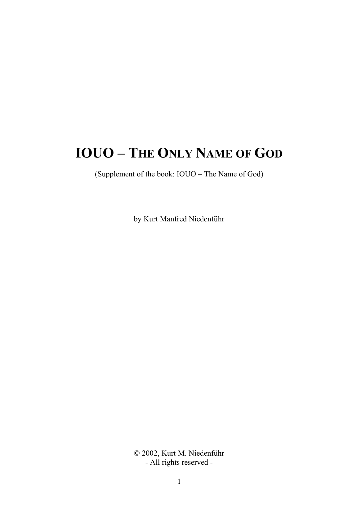# IOUO – THE ONLY NAME OF GOD

(Supplement of the book: IOUO – The Name of God)

by Kurt Manfred Niedenführ

© 2002, Kurt M. Niedenführ - All rights reserved -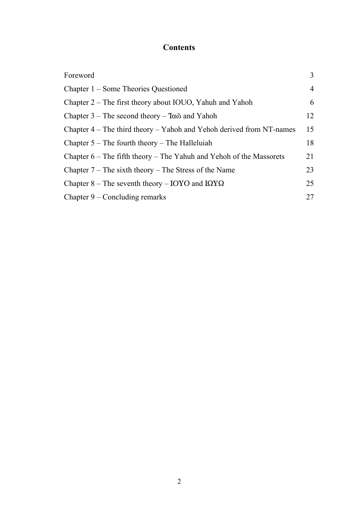# **Contents**

| Foreword                                                               | $\overline{3}$ |
|------------------------------------------------------------------------|----------------|
| Chapter 1 – Some Theories Questioned                                   | $\overline{4}$ |
| Chapter 2 – The first theory about IOUO, Yahuh and Yahoh               | 6              |
| Chapter $3$ – The second theory – $7\alpha\tilde{\omega}$ and Yahoh    | 12             |
| Chapter $4$ – The third theory – Yahoh and Yehoh derived from NT-names | 15             |
| Chapter $5$ – The fourth theory – The Halleluiah                       | 18             |
| Chapter $6$ – The fifth theory – The Yahuh and Yehoh of the Massorets  | 21             |
| Chapter $7$ – The sixth theory – The Stress of the Name                | 23             |
| Chapter 8 – The seventh theory – IOYO and IQYQ                         | 25             |
| Chapter $9$ – Concluding remarks                                       | 27             |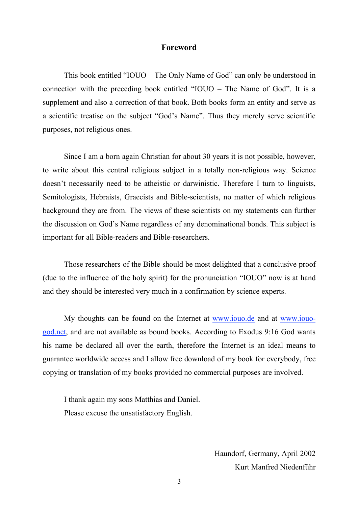# Foreword

This book entitled "IOUO – The Only Name of God" can only be understood in connection with the preceding book entitled "IOUO – The Name of God". It is a supplement and also a correction of that book. Both books form an entity and serve as a scientific treatise on the subject "God's Name". Thus they merely serve scientific purposes, not religious ones.

Since I am a born again Christian for about 30 years it is not possible, however, to write about this central religious subject in a totally non-religious way. Science doesn't necessarily need to be atheistic or darwinistic. Therefore I turn to linguists, Semitologists, Hebraists, Graecists and Bible-scientists, no matter of which religious background they are from. The views of these scientists on my statements can further the discussion on God's Name regardless of any denominational bonds. This subject is important for all Bible-readers and Bible-researchers.

Those researchers of the Bible should be most delighted that a conclusive proof (due to the influence of the holy spirit) for the pronunciation "IOUO" now is at hand and they should be interested very much in a confirmation by science experts.

My thoughts can be found on the Internet at www.iouo.de and at www.iouogod.net, and are not available as bound books. According to Exodus 9:16 God wants his name be declared all over the earth, therefore the Internet is an ideal means to guarantee worldwide access and I allow free download of my book for everybody, free copying or translation of my books provided no commercial purposes are involved.

I thank again my sons Matthias and Daniel. Please excuse the unsatisfactory English.

> Haundorf, Germany, April 2002 Kurt Manfred Niedenführ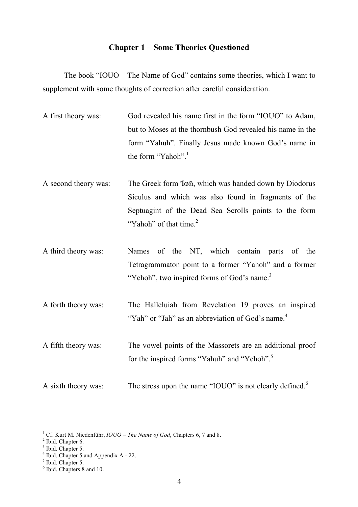# Chapter 1 – Some Theories Questioned

The book "IOUO – The Name of God" contains some theories, which I want to supplement with some thoughts of correction after careful consideration.

- A first theory was: God revealed his name first in the form "IOUO" to Adam, but to Moses at the thornbush God revealed his name in the form "Yahuh". Finally Jesus made known God's name in the form "Yahoh".<sup>1</sup>
- A second theory was: The Greek form  $7a\tilde{\omega}$ , which was handed down by Diodorus Siculus and which was also found in fragments of the Septuagint of the Dead Sea Scrolls points to the form "Yahoh" of that time. $2$
- A third theory was: Names of the NT, which contain parts of the Tetragrammaton point to a former "Yahoh" and a former "Yehoh", two inspired forms of God's name.<sup>3</sup>
- A forth theory was: The Halleluiah from Revelation 19 proves an inspired "Yah" or "Jah" as an abbreviation of God's name.<sup>4</sup>
- A fifth theory was: The vowel points of the Massorets are an additional proof for the inspired forms "Yahuh" and "Yehoh".<sup>5</sup>
- A sixth theory was: The stress upon the name "IOUO" is not clearly defined.<sup>6</sup>

<sup>&</sup>lt;sup>1</sup> Cf. Kurt M. Niedenführ,  $IOUO - The Name of God$ , Chapters 6, 7 and 8.<br><sup>2</sup> Ibid. Chapter 6.<br><sup>3</sup> Ibid. Chapter 5.<br><sup>4</sup> Ibid. Chapter 5 and Appendix A - 22.<br><sup>5</sup> Ibid. Chapter 5.<br><sup>6</sup> Ibid. Chapter 5.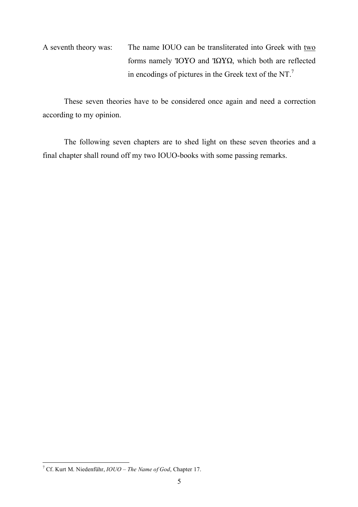A seventh theory was: The name IOUO can be transliterated into Greek with two forms namely *IOYO* and *IQYQ*, which both are reflected in encodings of pictures in the Greek text of the NT.7

These seven theories have to be considered once again and need a correction according to my opinion.

The following seven chapters are to shed light on these seven theories and a final chapter shall round off my two IOUO-books with some passing remarks.

 <sup>7</sup> Cf. Kurt M. Niedenführ, *IOUO – The Name of God*, Chapter 17.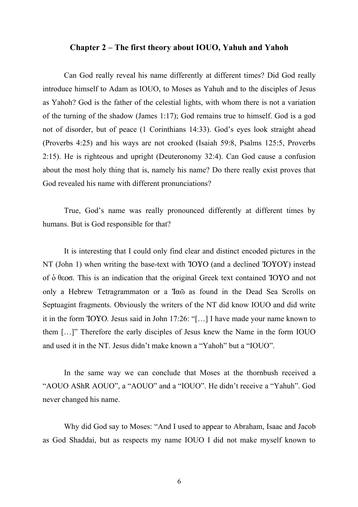#### Chapter 2 – The first theory about IOUO, Yahuh and Yahoh

Can God really reveal his name differently at different times? Did God really introduce himself to Adam as IOUO, to Moses as Yahuh and to the disciples of Jesus as Yahoh? God is the father of the celestial lights, with whom there is not a variation of the turning of the shadow (James 1:17); God remains true to himself. God is a god not of disorder, but of peace (1 Corinthians 14:33). God's eyes look straight ahead (Proverbs 4:25) and his ways are not crooked (Isaiah 59:8, Psalms 125:5, Proverbs 2:15). He is righteous and upright (Deuteronomy 32:4). Can God cause a confusion about the most holy thing that is, namely his name? Do there really exist proves that God revealed his name with different pronunciations?

True, God's name was really pronounced differently at different times by humans. But is God responsible for that?

It is interesting that I could only find clear and distinct encoded pictures in the  $NT$  (John 1) when writing the base-text with  $IOYO$  (and a declined  $IOYOY$ ) instead of  $\dot{\text{o}}$   $\theta$   $\text{e}\text{o}\sigma$ . This is an indication that the original Greek text contained **TOYO** and not only a Hebrew Tetragrammaton or a 'I $\alpha$ <sup>o</sup> as found in the Dead Sea Scrolls on Septuagint fragments. Obviously the writers of the NT did know IOUO and did write it in the form  $IOYO$ . Jesus said in John  $17:26$ : "[...] I have made your name known to them […]" Therefore the early disciples of Jesus knew the Name in the form IOUO and used it in the NT. Jesus didn't make known a "Yahoh" but a "IOUO".

In the same way we can conclude that Moses at the thornbush received a "AOUO AShR AOUO", a "AOUO" and a "IOUO". He didn't receive a "Yahuh". God never changed his name.

Why did God say to Moses: "And I used to appear to Abraham, Isaac and Jacob as God Shaddai, but as respects my name IOUO I did not make myself known to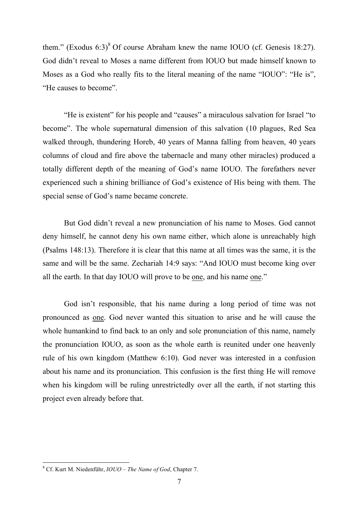them." (Exodus  $6:3$ )<sup>8</sup> Of course Abraham knew the name IOUO (cf. Genesis 18:27). God didn't reveal to Moses a name different from IOUO but made himself known to Moses as a God who really fits to the literal meaning of the name "IOUO": "He is", "He causes to become".

"He is existent" for his people and "causes" a miraculous salvation for Israel "to become". The whole supernatural dimension of this salvation (10 plagues, Red Sea walked through, thundering Horeb, 40 years of Manna falling from heaven, 40 years columns of cloud and fire above the tabernacle and many other miracles) produced a totally different depth of the meaning of God's name IOUO. The forefathers never experienced such a shining brilliance of God's existence of His being with them. The special sense of God's name became concrete.

But God didn't reveal a new pronunciation of his name to Moses. God cannot deny himself, he cannot deny his own name either, which alone is unreachably high (Psalms 148:13). Therefore it is clear that this name at all times was the same, it is the same and will be the same. Zechariah 14:9 says: "And IOUO must become king over all the earth. In that day IOUO will prove to be one, and his name one."

God isn't responsible, that his name during a long period of time was not pronounced as one. God never wanted this situation to arise and he will cause the whole humankind to find back to an only and sole pronunciation of this name, namely the pronunciation IOUO, as soon as the whole earth is reunited under one heavenly rule of his own kingdom (Matthew 6:10). God never was interested in a confusion about his name and its pronunciation. This confusion is the first thing He will remove when his kingdom will be ruling unrestrictedly over all the earth, if not starting this project even already before that.

 <sup>8</sup> Cf. Kurt M. Niedenführ, *IOUO – The Name of God*, Chapter 7.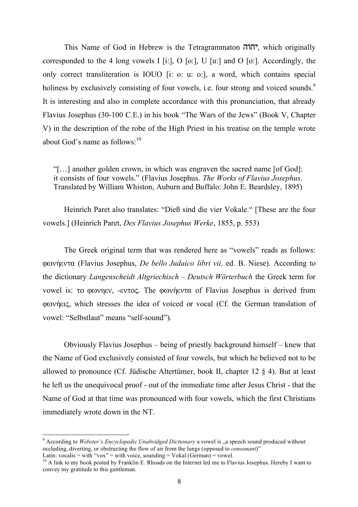This Name of God in Hebrew is the Tetragrammaton  $\overline{U}$ , which originally corresponded to the 4 long vowels I [i:], O [o:], U [u:] and O [o:]. Accordingly, the only correct transliteration is IOUO [i: o: u: o:], a word, which contains special holiness by exclusively consisting of four vowels, i.e. four strong and voiced sounds.<sup>9</sup> It is interesting and also in complete accordance with this pronunciation, that already Flavius Josephus (30-100 C.E.) in his book "The Wars of the Jews" (Book V, Chapter V) in the description of the robe of the High Priest in his treatise on the temple wrote about God's name as follows: $10$ 

"[…] another golden crown, in which was engraven the sacred name [of God]: it consists of four vowels." (Flavius Josephus. *The Works of Flavius Josephus*. Translated by William Whiston, Auburn and Buffalo: John E. Beardsley, 1895)

Heinrich Paret also translates: "Dieß sind die vier Vokale." [These are the four vowels.] (Heinrich Paret, *Des Flavius Josephus Werke*, 1855, p. 553)

The Greek original term that was rendered here as "vowels" reads as follows: φωνήεντα (Flavius Josephus, *De bello Judaico libri vii*, ed. B. Niese). According to the dictionary *Langenscheidt Altgriechisch – Deutsch Wörterbuch* the Greek term for vowel is: το φωνηεν, -εντος. The φωνήεντα of Flavius Josephus is derived from graviers, which stresses the idea of voiced or vocal (Cf. the German translation of vowel: "Selbstlaut" means "self-sound").

Obviously Flavius Josephus – being of priestly background himself – knew that the Name of God exclusively consisted of four vowels, but which he believed not to be allowed to pronounce (Cf. Jüdische Altertümer, book II, chapter 12 § 4). But at least he left us the unequivocal proof - out of the immediate time after Jesus Christ - that the Name of God at that time was pronounced with four vowels, which the first Christians immediately wrote down in the NT.

<sup>&</sup>lt;sup>9</sup> According to *Webster's Encyclopedic Unabridged Dictionary* a vowel is "a speech sound produced without occluding, diverting, or obstructing the flow of air from the lungs (opposed to *consonant*)"<br>Latin: vocalis = with "vox" = with voice, sounding = Vokal (German) = vowel.

 $10$  A link to my book posted by Franklin E. Rhoads on the Internet led me to Flavius Josephus. Hereby I want to convey my gratitude to this gentleman.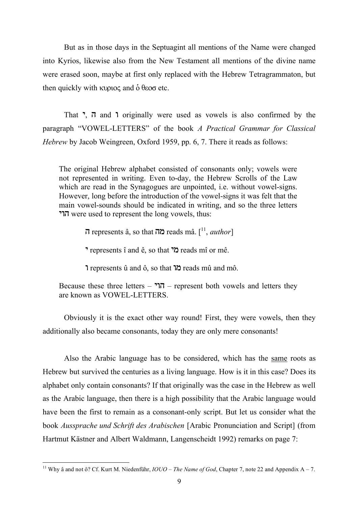But as in those days in the Septuagint all mentions of the Name were changed into Kyrios, likewise also from the New Testament all mentions of the divine name were erased soon, maybe at first only replaced with the Hebrew Tetragrammaton, but then quickly with  $\kappa$  upto and  $\delta$   $\theta$ eos etc.

That  $\overline{1}$ ,  $\overline{1}$  and  $\overline{1}$  originally were used as vowels is also confirmed by the paragraph "VOWEL-LETTERS" of the book *A Practical Grammar for Classical Hebrew* by Jacob Weingreen, Oxford 1959, pp. 6, 7. There it reads as follows:

The original Hebrew alphabet consisted of consonants only; vowels were not represented in writing. Even to-day, the Hebrew Scrolls of the Law which are read in the Synagogues are unpointed, i.e. without vowel-signs. However, long before the introduction of the vowel-signs it was felt that the main vowel-sounds should be indicated in writing, and so the three letters  $\overline{I}$ ור were used to represent the long vowels, thus:

ה represents â, so that **מה** reads mâ. [<sup>11</sup>, *author*]

**P** represents î and ê, so that  $\tilde{C}$  reads mî or mê.

U represents û and ô, so that UM reads mû and mô.

Because these three letters –  $\overline{U}$  – represent both vowels and letters they are known as VOWEL-LETTERS.

Obviously it is the exact other way round! First, they were vowels, then they additionally also became consonants, today they are only mere consonants!

Also the Arabic language has to be considered, which has the same roots as Hebrew but survived the centuries as a living language. How is it in this case? Does its alphabet only contain consonants? If that originally was the case in the Hebrew as well as the Arabic language, then there is a high possibility that the Arabic language would have been the first to remain as a consonant-only script. But let us consider what the book *Aussprache und Schrift des Arabischen* [Arabic Pronunciation and Script] (from Hartmut Kästner and Albert Waldmann, Langenscheidt 1992) remarks on page 7:

<sup>&</sup>lt;sup>11</sup> Why â and not ô? Cf. Kurt M. Niedenführ,  $IOUO - The Name of God$ , Chapter 7, note 22 and Appendix A – 7.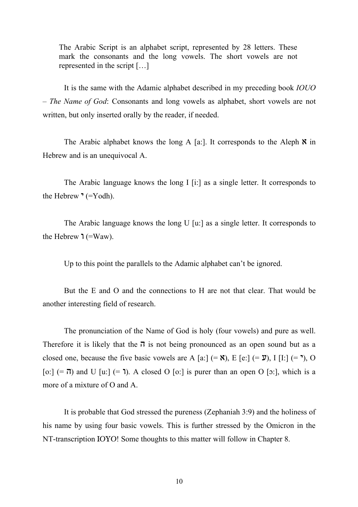The Arabic Script is an alphabet script, represented by 28 letters. These mark the consonants and the long vowels. The short vowels are not represented in the script […]

It is the same with the Adamic alphabet described in my preceding book *IOUO – The Name of God*: Consonants and long vowels as alphabet, short vowels are not written, but only inserted orally by the reader, if needed.

The Arabic alphabet knows the long A [a:]. It corresponds to the Aleph  $\aleph$  in Hebrew and is an unequivocal A.

The Arabic language knows the long I [i:] as a single letter. It corresponds to the Hebrew  $\degree$  (=Yodh).

The Arabic language knows the long U [u:] as a single letter. It corresponds to the Hebrew  $\mathbf{1}$  (=Waw).

Up to this point the parallels to the Adamic alphabet can't be ignored.

But the E and O and the connections to H are not that clear. That would be another interesting field of research.

The pronunciation of the Name of God is holy (four vowels) and pure as well. Therefore it is likely that the  $\pi$  is not being pronounced as an open sound but as a closed one, because the five basic vowels are A [a:]  $(= \mathbf{X})$ , E [e:]  $(= \mathbf{Y})$ , I [I:]  $(= \mathbf{Y})$ , O [o:]  $(=\overline{0})$  and U [u:]  $(=\overline{1})$ . A closed O [o:] is purer than an open O [o:], which is a more of a mixture of O and A.

It is probable that God stressed the pureness (Zephaniah 3:9) and the holiness of his name by using four basic vowels. This is further stressed by the Omicron in the NT-transcription IOYO! Some thoughts to this matter will follow in Chapter 8.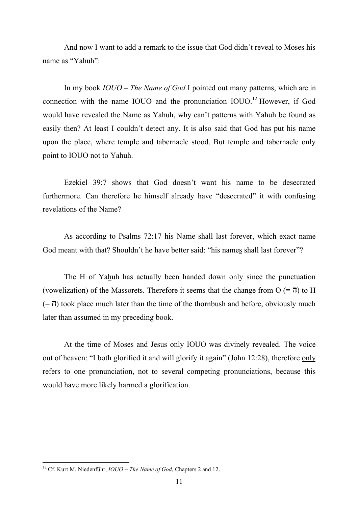And now I want to add a remark to the issue that God didn't reveal to Moses his name as "Yahuh":

In my book *IOUO – The Name of God* I pointed out many patterns, which are in connection with the name IOUO and the pronunciation  $IOUO<sup>12</sup>$  However, if God would have revealed the Name as Yahuh, why can't patterns with Yahuh be found as easily then? At least I couldn't detect any. It is also said that God has put his name upon the place, where temple and tabernacle stood. But temple and tabernacle only point to IOUO not to Yahuh.

Ezekiel 39:7 shows that God doesn't want his name to be desecrated furthermore. Can therefore he himself already have "desecrated" it with confusing revelations of the Name?

As according to Psalms 72:17 his Name shall last forever, which exact name God meant with that? Shouldn't he have better said: "his names shall last forever"?

The H of Yahuh has actually been handed down only since the punctuation (vowelization) of the Massorets. Therefore it seems that the change from  $O (= \pi)$  to H  $(=\pi)$  took place much later than the time of the thornbush and before, obviously much later than assumed in my preceding book.

At the time of Moses and Jesus only IOUO was divinely revealed. The voice out of heaven: "I both glorified it and will glorify it again" (John 12:28), therefore only refers to one pronunciation, not to several competing pronunciations, because this would have more likely harmed a glorification.

 <sup>12</sup> Cf. Kurt M. Niedenführ, *IOUO – The Name of God*, Chapters <sup>2</sup> and 12.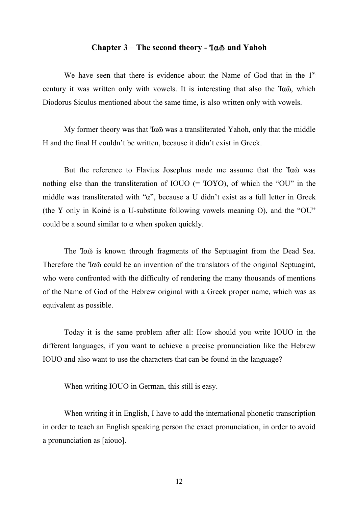## Chapter  $3$  – The second theory -  $7\alpha\tilde{\omega}$  and Yahoh

We have seen that there is evidence about the Name of God that in the 1<sup>st</sup> century it was written only with vowels. It is interesting that also the  $7a\tilde{\omega}$ , which Diodorus Siculus mentioned about the same time, is also written only with vowels.

My former theory was that  $7\alpha\tilde{\omega}$  was a transliterated Yahoh, only that the middle H and the final H couldn't be written, because it didn't exist in Greek.

But the reference to Flavius Josephus made me assume that the  $7\alpha\tilde{\omega}$  was nothing else than the transliteration of IOUO  $(= 70 \text{YO})$ , of which the "OU" in the middle was transliterated with " $\alpha$ ", because a U didn't exist as a full letter in Greek (the Y only in Koiné is a U-substitute following vowels meaning O), and the "OU" could be a sound similar to  $\alpha$  when spoken quickly.

The Ia<sub>Ô</sub> is known through fragments of the Septuagint from the Dead Sea. Therefore the  $T\alpha\tilde{\omega}$  could be an invention of the translators of the original Septuagint, who were confronted with the difficulty of rendering the many thousands of mentions of the Name of God of the Hebrew original with a Greek proper name, which was as equivalent as possible.

Today it is the same problem after all: How should you write IOUO in the different languages, if you want to achieve a precise pronunciation like the Hebrew IOUO and also want to use the characters that can be found in the language?

When writing IOUO in German, this still is easy.

When writing it in English, I have to add the international phonetic transcription in order to teach an English speaking person the exact pronunciation, in order to avoid a pronunciation as [aiouo].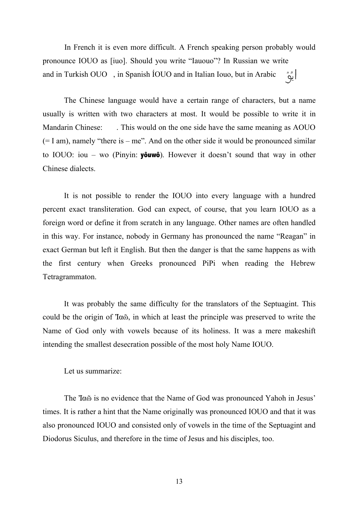In French it is even more difficult. A French speaking person probably would pronounce IOUO as [iuo]. Should you write "Iauouo"? In Russian we write ا ڀُ" and in Turkish OUO , in Spanish ÍOUO and in Italian Iouo, but in Arabic:

The Chinese language would have a certain range of characters, but a name usually is written with two characters at most. It would be possible to write it in Mandarin Chinese: . This would on the one side have the same meaning as AOUO  $(= I \text{ am})$ , namely "there is  $-$  me". And on the other side it would be pronounced similar to IOUO: iou – wo (Pinyin: **yôuwô**). However it doesn't sound that way in other Chinese dialects.

It is not possible to render the IOUO into every language with a hundred percent exact transliteration. God can expect, of course, that you learn IOUO as a foreign word or define it from scratch in any language. Other names are often handled in this way. For instance, nobody in Germany has pronounced the name "Reagan" in exact German but left it English. But then the danger is that the same happens as with the first century when Greeks pronounced PiPi when reading the Hebrew Tetragrammaton.

It was probably the same difficulty for the translators of the Septuagint. This could be the origin of  $T\alpha\tilde{\omega}$ , in which at least the principle was preserved to write the Name of God only with vowels because of its holiness. It was a mere makeshift intending the smallest desecration possible of the most holy Name IOUO.

Let us summarize:

The Ia<sub>Ô</sub> is no evidence that the Name of God was pronounced Yahoh in Jesus' times. It is rather a hint that the Name originally was pronounced IOUO and that it was also pronounced IOUO and consisted only of vowels in the time of the Septuagint and Diodorus Siculus, and therefore in the time of Jesus and his disciples, too.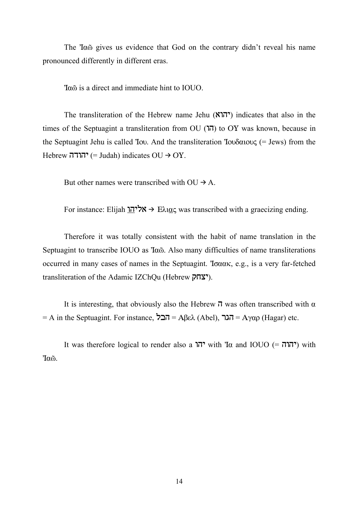The *Ia* $\tilde{\omega}$  gives us evidence that God on the contrary didn't reveal his name pronounced differently in different eras.

ÍaÔ is a direct and immediate hint to IOUO.

The transliteration of the Hebrew name Jehu (יהוא) indicates that also in the times of the Septuagint a transliteration from OU  $(T)$  to OY was known, because in the Septuagint Jehu is called *Tov.* And the transliteration *Tov* $\delta \alpha$ *iov* $\epsilon$  (= Jews) from the  $Hebrew$  יהודה (= Judah) indicates  $OU \rightarrow OY$ .

But other names were transcribed with  $O U \rightarrow A$ .

For instance: Elijah אלי<u>הו</u> + E $\lambda$ ו $\alpha$ c was transcribed with a graecizing ending.

Therefore it was totally consistent with the habit of name translation in the Septuagint to transcribe IOUO as 'I $\alpha$ <sup>o</sup>. Also many difficulties of name transliterations occurred in many cases of names in the Septuagint. To  $\alpha\alpha\kappa$ , e.g., is a very far-fetched transliteration of the Adamic IZChQu (Hebrew **יצחק**).

It is interesting, that obviously also the Hebrew  $\vec{\theta}$  was often transcribed with  $\alpha$  $=$  A in the Septuagint. For instance,  $\overline{A} = A\beta \varepsilon \lambda$  (Abel), הגר $= A\gamma \alpha \rho$  (Hagar) etc.

It was therefore logical to render also a יהו 'vith 'Ia and IOUO ( $\tau$ רהו $\pi$ ) with ÍaÔ.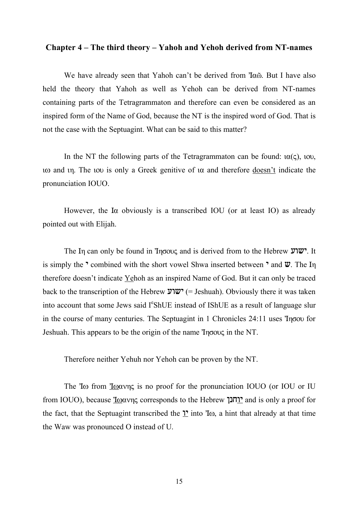#### Chapter 4 – The third theory – Yahoh and Yehoh derived from NT-names

We have already seen that Yahoh can't be derived from  $T\alpha\tilde{\omega}$ . But I have also held the theory that Yahoh as well as Yehoh can be derived from NT-names containing parts of the Tetragrammaton and therefore can even be considered as an inspired form of the Name of God, because the NT is the inspired word of God. That is not the case with the Septuagint. What can be said to this matter?

In the NT the following parts of the Tetragrammaton can be found:  $\alpha(\varsigma)$ , iou,  $\alpha$  and  $\alpha$ . The  $\alpha$  is only a Greek genitive of  $\alpha$  and therefore  $\alpha$  doesn't indicate the pronunciation IOUO.

However, the I $\alpha$  obviously is a transcribed IOU (or at least IO) as already pointed out with Elijah.

**The In can only be found in Ingove** and is derived from to the Hebrew **III.** It is simply the  $\cdot$  combined with the short vowel Shwa inserted between  $\cdot$  and  $\mathbf{W}$ . The In therefore doesn't indicate Yehoh as an inspired Name of God. But it can only be traced back to the transcription of the Hebrew ישוע (= Jeshuah). Obviously there it was taken into account that some Jews said I<sup>e</sup>ShUE instead of IShUE as a result of language slur in the course of many centuries. The Septuagint in 1 Chronicles  $24:11$  uses  $\eta \sigma \infty$  for Jeshuah. This appears to be the origin of the name  $\text{Tr}(\cos \theta)$  in the NT.

Therefore neither Yehuh nor Yehoh can be proven by the NT.

The  $\text{To from } \text{Toov}_S$  is no proof for the pronunciation IOUO (or IOU or IU from IOUO), because I $\omega$  $\alpha$  is only a proof for  $\alpha$  Febrew  $\alpha$  and is only a proof for the fact, that the Septuagint transcribed the  $\mathcal{V}$  into  $\mathcal{I}\omega$ , a hint that already at that time the Waw was pronounced O instead of U.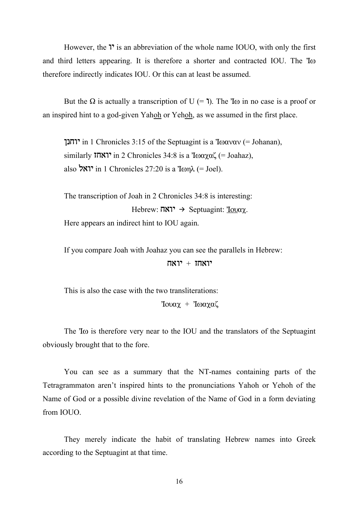However, the  $\mathcal{V}$  is an abbreviation of the whole name IOUO, with only the first and third letters appearing. It is therefore a shorter and contracted IOU. The  $\text{To}$ therefore indirectly indicates IOU. Or this can at least be assumed.

But the  $\Omega$  is actually a transcription of U (= 1). The T<sub>w</sub> in no case is a proof or an inspired hint to a god-given Yahoh or Yehoh, as we assumed in the first place.

יוחנך in 1 Chronicles 3:15 of the Septuagint is a I $\omega$  $\alpha v$  (= Johanan), similarly  $\text{Tr}\,\mathbf{X}$  in 2 Chronicles 34:8 is a  $\text{Toaya\&}$  (= Joahaz), also יואל in 1 Chronicles 27:20 is a Iwn $\lambda$  (= Joel).

The transcription of Joah in 2 Chronicles 34:8 is interesting: Hebrew:  $\overline{N}$  $\overline{N}$ <sup> $\rightarrow$ </sup> Septuagint: <u>Iova</u> $\chi$ . Here appears an indirect hint to IOU again.

If you compare Joah with Joahaz you can see the parallels in Hebrew:

 $\mathsf{H}\mathsf{H}\mathsf{H}$ יואחז + יואח

This is also the case with the two transliterations:  $Iow\alpha\chi + Vow\alpha\zeta$ 

The  $\text{To}$  is therefore very near to the IOU and the translators of the Septuagint obviously brought that to the fore.

You can see as a summary that the NT-names containing parts of the Tetragrammaton aren't inspired hints to the pronunciations Yahoh or Yehoh of the Name of God or a possible divine revelation of the Name of God in a form deviating from IOUO.

They merely indicate the habit of translating Hebrew names into Greek according to the Septuagint at that time.

16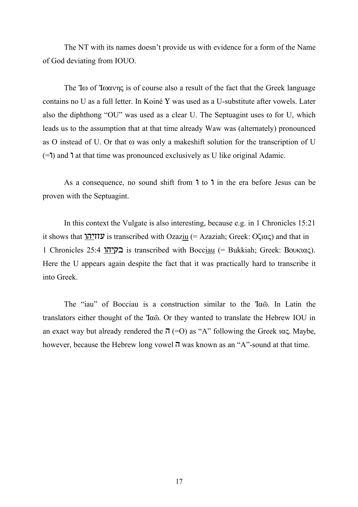The NT with its names doesn't provide us with evidence for a form of the Name of God deviating from IOUO.

The  $\text{To}$  of  $\text{To}$  is of course also a result of the fact that the Greek language contains no U as a full letter. In Koiné Y was used as a U-substitute after vowels. Later also the diphthong "OU" was used as a clear U. The Septuagint uses  $\omega$  for U, which leads us to the assumption that at that time already Waw was (alternately) pronounced as O instead of U. Or that  $\omega$  was only a makeshift solution for the transcription of U  $(=1)$  and 1 at that time was pronounced exclusively as U like original Adamic.

As a consequence, no sound shift from  $\overline{\mathsf{1}}$  to  $\overline{\mathsf{1}}$  in the era before Jesus can be proven with the Septuagint.

In this context the Vulgate is also interesting, because e.g. in 1 Chronicles 15:21 it shows that  $\overline{U}$ IIIV is transcribed with Ozaziu (= Azaziah; Greek: O $\zeta$ iac) and that in 1 Chronicles 25:4 בקיהו is transcribed with Bocciau (= Bukkiah; Greek: Βουκιας). Here the U appears again despite the fact that it was practically hard to transcribe it into Greek.

The "iau" of Bocciau is a construction similar to the 'Ia<sub>®</sub>. In Latin the translators either thought of the ÍaÔ. Or they wanted to translate the Hebrew IOU in an exact way but already rendered the  $\pi$  (=O) as "A" following the Greek  $\alpha \in \mathcal{L}$ . Maybe, however, because the Hebrew long vowel  $\vec{\theta}$  was known as an "A"-sound at that time.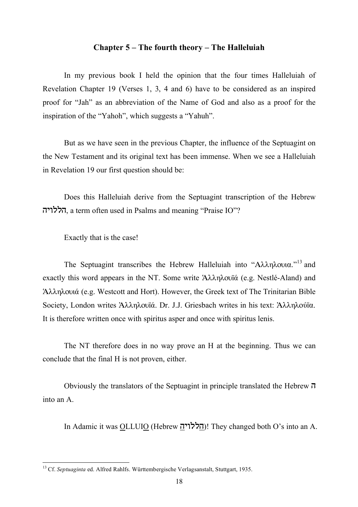# Chapter 5 – The fourth theory – The Halleluiah

In my previous book I held the opinion that the four times Halleluiah of Revelation Chapter 19 (Verses 1, 3, 4 and 6) have to be considered as an inspired proof for "Jah" as an abbreviation of the Name of God and also as a proof for the inspiration of the "Yahoh", which suggests a "Yahuh".

But as we have seen in the previous Chapter, the influence of the Septuagint on the New Testament and its original text has been immense. When we see a Halleluiah in Revelation 19 our first question should be:

Does this Halleluiah derive from the Septuagint transcription of the Hebrew הללויה, a term often used in Psalms and meaning "Praise IO"?

Exactly that is the case!

The Septuagint transcribes the Hebrew Halleluiah into " $A\lambda\lambda\eta\lambda$ ovia."<sup>13</sup> and exactly this word appears in the NT. Some write  $A\lambda\lambda\eta\lambda$  oviá (e.g. Nestlé-Aland) and Aλληλουιά (e.g. Westcott and Hort). However, the Greek text of The Trinitarian Bible Society, London writes Άλληλουϊά. Dr. J.J. Griesbach writes in his text: Άλληλούϊα. It is therefore written once with spiritus asper and once with spiritus lenis.

The NT therefore does in no way prove an H at the beginning. Thus we can conclude that the final H is not proven, either.

Obviously the translators of the Septuagint in principle translated the Hebrew  $\pi$ into an A.

In Adamic it was OLLUIO (Hebrew והללויה! They changed both O's into an A.

 <sup>13</sup> Cf. *Septuaginta* ed. Alfred Rahlfs. Württembergische Verlagsanstalt, Stuttgart, 1935.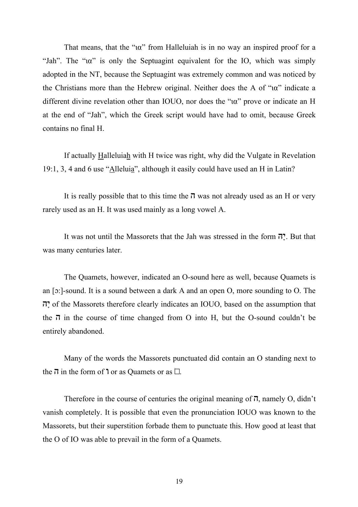That means, that the " $\alpha$ " from Halleluiah is in no way an inspired proof for a "Jah". The " $\alpha$ " is only the Septuagint equivalent for the IO, which was simply adopted in the NT, because the Septuagint was extremely common and was noticed by the Christians more than the Hebrew original. Neither does the A of " $\alpha$ " indicate a different divine revelation other than IOUO, nor does the "ia" prove or indicate an H at the end of "Jah", which the Greek script would have had to omit, because Greek contains no final H.

If actually Halleluiah with H twice was right, why did the Vulgate in Revelation 19:1, 3, 4 and 6 use " $\triangle$ llelui $\frac{a}{a}$ ", although it easily could have used an H in Latin?

It is really possible that to this time the  $\vec{v}$  was not already used as an H or very rarely used as an H. It was used mainly as a long vowel A.

It was not until the Massorets that the Jah was stressed in the form  $\vec{v}$ . But that was many centuries later.

The Quamets, however, indicated an O-sound here as well, because Quamets is an  $\lceil$ o: $\rceil$ -sound. It is a sound between a dark A and an open O, more sounding to O. The  $\vec{v}$  of the Massorets therefore clearly indicates an IOUO, based on the assumption that the  $\bar{\eta}$  in the course of time changed from O into H, but the O-sound couldn't be entirely abandoned.

Many of the words the Massorets punctuated did contain an O standing next to the  $\overline{\mathbf{u}}$  in the form of **'** or as Quamets or as  $\Box$ .

Therefore in the course of centuries the original meaning of  $\vec{n}$ , namely O, didn't vanish completely. It is possible that even the pronunciation IOUO was known to the Massorets, but their superstition forbade them to punctuate this. How good at least that the O of IO was able to prevail in the form of a Quamets.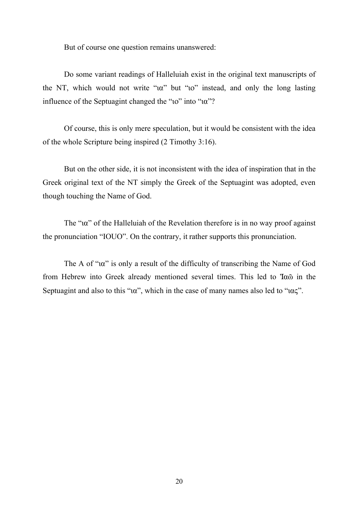But of course one question remains unanswered:

Do some variant readings of Halleluiah exist in the original text manuscripts of the NT, which would not write "ia" but "io" instead, and only the long lasting influence of the Septuagint changed the " $io$ " into " $i\alpha$ "?

Of course, this is only mere speculation, but it would be consistent with the idea of the whole Scripture being inspired (2 Timothy 3:16).

But on the other side, it is not inconsistent with the idea of inspiration that in the Greek original text of the NT simply the Greek of the Septuagint was adopted, even though touching the Name of God.

The " $\alpha$ " of the Halleluiah of the Revelation therefore is in no way proof against the pronunciation "IOUO". On the contrary, it rather supports this pronunciation.

The A of " $\alpha$ " is only a result of the difficulty of transcribing the Name of God from Hebrew into Greek already mentioned several times. This led to 'Iao in the Septuagint and also to this " $\alpha$ ", which in the case of many names also led to " $\alpha\zeta$ ".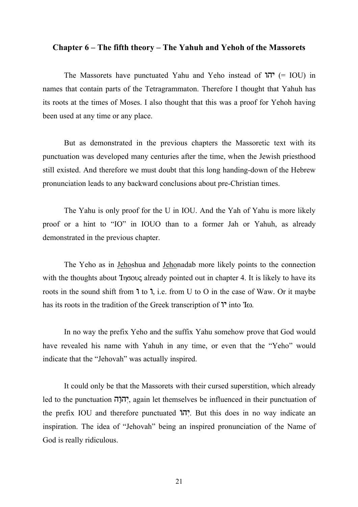#### Chapter 6 – The fifth theory – The Yahuh and Yehoh of the Massorets

The Massorets have punctuated Yahu and Yeho instead of  $\Pi$ יהו (= IOU) in names that contain parts of the Tetragrammaton. Therefore I thought that Yahuh has its roots at the times of Moses. I also thought that this was a proof for Yehoh having been used at any time or any place.

But as demonstrated in the previous chapters the Massoretic text with its punctuation was developed many centuries after the time, when the Jewish priesthood still existed. And therefore we must doubt that this long handing-down of the Hebrew pronunciation leads to any backward conclusions about pre-Christian times.

The Yahu is only proof for the U in IOU. And the Yah of Yahu is more likely proof or a hint to "IO" in IOUO than to a former Jah or Yahuh, as already demonstrated in the previous chapter.

The Yeho as in Jehoshua and Jehonadab more likely points to the connection with the thoughts about  $\text{Yn}$  already pointed out in chapter 4. It is likely to have its roots in the sound shift from  $\mathbf{1}$  to  $\mathbf{1}$ , i.e. from U to O in the case of Waw. Or it maybe has its roots in the tradition of the Greek transcription of  $\mathbb{I}^{\bullet}$  into  $\mathbb{I}\omega$ .

In no way the prefix Yeho and the suffix Yahu somehow prove that God would have revealed his name with Yahuh in any time, or even that the "Yeho" would indicate that the "Jehovah" was actually inspired.

It could only be that the Massorets with their cursed superstition, which already led to the punctuation  $\vec{\theta}$ , again let themselves be influenced in their punctuation of the prefix IOU and therefore punctuated  $\overline{17}$ . But this does in no way indicate an inspiration. The idea of "Jehovah" being an inspired pronunciation of the Name of God is really ridiculous.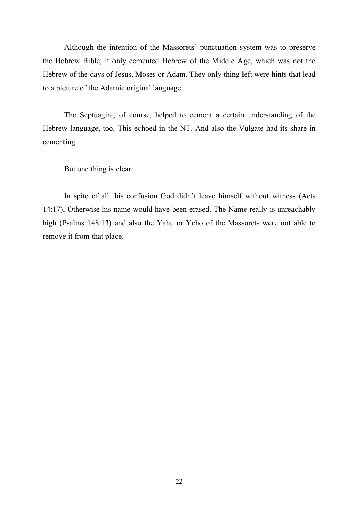Although the intention of the Massorets' punctuation system was to preserve the Hebrew Bible, it only cemented Hebrew of the Middle Age, which was not the Hebrew of the days of Jesus, Moses or Adam. They only thing left were hints that lead to a picture of the Adamic original language.

The Septuagint, of course, helped to cement a certain understanding of the Hebrew language, too. This echoed in the NT. And also the Vulgate had its share in cementing.

But one thing is clear:

In spite of all this confusion God didn't leave himself without witness (Acts 14:17). Otherwise his name would have been erased. The Name really is unreachably high (Psalms 148:13) and also the Yahu or Yeho of the Massorets were not able to remove it from that place.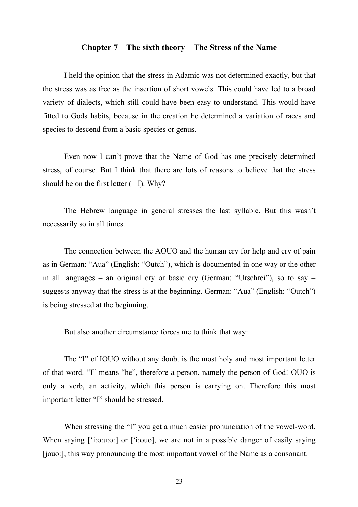#### Chapter 7 – The sixth theory – The Stress of the Name

I held the opinion that the stress in Adamic was not determined exactly, but that the stress was as free as the insertion of short vowels. This could have led to a broad variety of dialects, which still could have been easy to understand. This would have fitted to Gods habits, because in the creation he determined a variation of races and species to descend from a basic species or genus.

Even now I can't prove that the Name of God has one precisely determined stress, of course. But I think that there are lots of reasons to believe that the stress should be on the first letter  $(= I)$ . Why?

The Hebrew language in general stresses the last syllable. But this wasn't necessarily so in all times.

The connection between the AOUO and the human cry for help and cry of pain as in German: "Aua" (English: "Outch"), which is documented in one way or the other in all languages – an original cry or basic cry (German: "Urschrei"), so to say – suggests anyway that the stress is at the beginning. German: "Aua" (English: "Outch") is being stressed at the beginning.

But also another circumstance forces me to think that way:

The "I" of IOUO without any doubt is the most holy and most important letter of that word. "I" means "he", therefore a person, namely the person of God! OUO is only a verb, an activity, which this person is carrying on. Therefore this most important letter "I" should be stressed.

When stressing the "I" you get a much easier pronunciation of the vowel-word. When saying ['i:o:u:o:] or ['i:ouo], we are not in a possible danger of easily saying [jouo:], this way pronouncing the most important vowel of the Name as a consonant.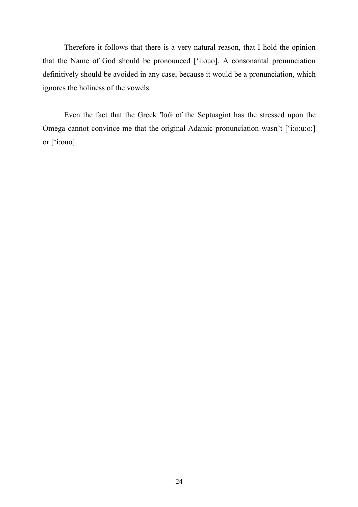Therefore it follows that there is a very natural reason, that I hold the opinion that the Name of God should be pronounced ['i:ouo]. A consonantal pronunciation definitively should be avoided in any case, because it would be a pronunciation, which ignores the holiness of the vowels.

Even the fact that the Greek 'I $\alpha$ <sup>o</sup> of the Septuagint has the stressed upon the Omega cannot convince me that the original Adamic pronunciation wasn't ['i:o:u:o:] or ['i:ouo].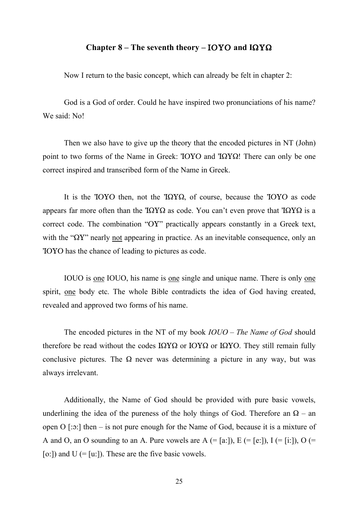# Chapter 8 – The seventh theory – IOYO and  $I\Omega Y\Omega$

Now I return to the basic concept, which can already be felt in chapter 2:

God is a God of order. Could he have inspired two pronunciations of his name? We said: No!

Then we also have to give up the theory that the encoded pictures in NT (John) point to two forms of the Name in Greek:  $TOYO$  and  $T\Omega Y\Omega$ ! There can only be one correct inspired and transcribed form of the Name in Greek.

It is the  $IOYO$  then, not the  $IOYQ$ , of course, because the  $IOYO$  as code appears far more often than the  $T\Omega Y\Omega$  as code. You can't even prove that  $T\Omega Y\Omega$  is a correct code. The combination "OY" practically appears constantly in a Greek text, with the " $\Omega Y$ " nearly not appearing in practice. As an inevitable consequence, only an ÍOUO has the chance of leading to pictures as code.

IOUO is one IOUO, his name is one single and unique name. There is only one spirit, one body etc. The whole Bible contradicts the idea of God having created, revealed and approved two forms of his name.

The encoded pictures in the NT of my book *IOUO – The Name of God* should therefore be read without the codes  $I\Omega Y\Omega$  or  $I\Omega Y\Omega$  or  $I\Omega Y\Omega$ . They still remain fully conclusive pictures. The  $\Omega$  never was determining a picture in any way, but was always irrelevant.

Additionally, the Name of God should be provided with pure basic vowels, underlining the idea of the pureness of the holy things of God. Therefore an  $\Omega$  – an open  $O$  [: $\sigma$ :] then – is not pure enough for the Name of God, because it is a mixture of A and O, an O sounding to an A. Pure vowels are  $A (= [a,])$ ,  $E (= [e,])$ ,  $I (= [i,])$ ,  $O (=$ [o:]) and  $U$  (= [u:]). These are the five basic vowels.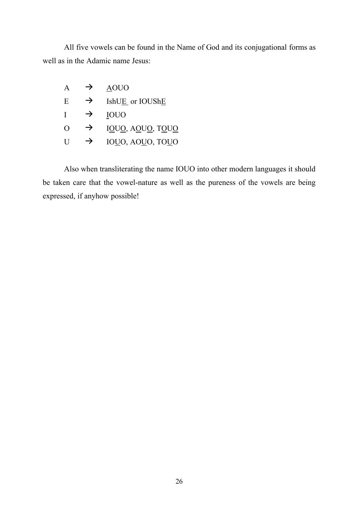All five vowels can be found in the Name of God and its conjugational forms as well as in the Adamic name Jesus:

| A        | →             | <b>AOUO</b>      |
|----------|---------------|------------------|
| E        | $\rightarrow$ | IshUE or IOUShE  |
| -1       | →             | <b>IOUO</b>      |
| $\Omega$ | →             | IOUO, AOUO, TOUO |
| H        | $\rightarrow$ | IOUO, AOUO, TOUO |

Also when transliterating the name IOUO into other modern languages it should be taken care that the vowel-nature as well as the pureness of the vowels are being expressed, if anyhow possible!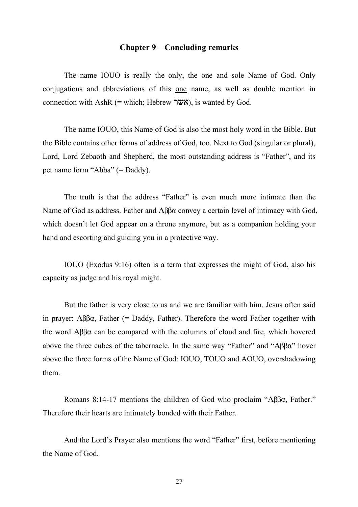# Chapter 9 – Concluding remarks

The name IOUO is really the only, the one and sole Name of God. Only conjugations and abbreviations of this one name, as well as double mention in connection with AshR (= which; Hebrew  $\overline{W}$ , is wanted by God.

The name IOUO, this Name of God is also the most holy word in the Bible. But the Bible contains other forms of address of God, too. Next to God (singular or plural), Lord, Lord Zebaoth and Shepherd, the most outstanding address is "Father", and its pet name form "Abba" (= Daddy).

The truth is that the address "Father" is even much more intimate than the Name of God as address. Father and  $\Delta\beta\beta\alpha$  convey a certain level of intimacy with God, which doesn't let God appear on a throne anymore, but as a companion holding your hand and escorting and guiding you in a protective way.

IOUO (Exodus 9:16) often is a term that expresses the might of God, also his capacity as judge and his royal might.

But the father is very close to us and we are familiar with him. Jesus often said in prayer:  $\Delta\beta\beta\alpha$ , Father (= Daddy, Father). Therefore the word Father together with the word  $\Delta\beta\beta\alpha$  can be compared with the columns of cloud and fire, which hovered above the three cubes of the tabernacle. In the same way "Father" and " $\Delta\beta\beta\alpha$ " hover above the three forms of the Name of God: IOUO, TOUO and AOUO, overshadowing them.

Romans 8:14-17 mentions the children of God who proclaim " $\Delta\beta\beta\alpha$ , Father." Therefore their hearts are intimately bonded with their Father.

And the Lord's Prayer also mentions the word "Father" first, before mentioning the Name of God.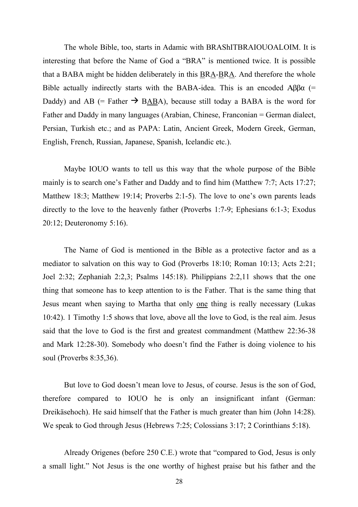The whole Bible, too, starts in Adamic with BRAShITBRAIOUOALOIM. It is interesting that before the Name of God a "BRA" is mentioned twice. It is possible that a BABA might be hidden deliberately in this **BRA-BRA**. And therefore the whole Bible actually indirectly starts with the BABA-idea. This is an encoded  $\text{A}\beta\beta\alpha$  (= Daddy) and AB (= Father  $\rightarrow$  BABA), because still today a BABA is the word for Father and Daddy in many languages (Arabian, Chinese, Franconian = German dialect, Persian, Turkish etc.; and as PAPA: Latin, Ancient Greek, Modern Greek, German, English, French, Russian, Japanese, Spanish, Icelandic etc.).

Maybe IOUO wants to tell us this way that the whole purpose of the Bible mainly is to search one's Father and Daddy and to find him (Matthew 7:7; Acts 17:27; Matthew 18:3; Matthew 19:14; Proverbs 2:1-5). The love to one's own parents leads directly to the love to the heavenly father (Proverbs 1:7-9; Ephesians 6:1-3; Exodus 20:12; Deuteronomy 5:16).

The Name of God is mentioned in the Bible as a protective factor and as a mediator to salvation on this way to God (Proverbs 18:10; Roman 10:13; Acts 2:21; Joel 2:32; Zephaniah 2:2,3; Psalms 145:18). Philippians 2:2,11 shows that the one thing that someone has to keep attention to is the Father. That is the same thing that Jesus meant when saying to Martha that only one thing is really necessary (Lukas 10:42). 1 Timothy 1:5 shows that love, above all the love to God, is the real aim. Jesus said that the love to God is the first and greatest commandment (Matthew 22:36-38 and Mark 12:28-30). Somebody who doesn't find the Father is doing violence to his soul (Proverbs 8:35,36).

But love to God doesn't mean love to Jesus, of course. Jesus is the son of God, therefore compared to IOUO he is only an insignificant infant (German: Dreikäsehoch). He said himself that the Father is much greater than him (John 14:28). We speak to God through Jesus (Hebrews 7:25; Colossians 3:17; 2 Corinthians 5:18).

Already Origenes (before 250 C.E.) wrote that "compared to God, Jesus is only a small light." Not Jesus is the one worthy of highest praise but his father and the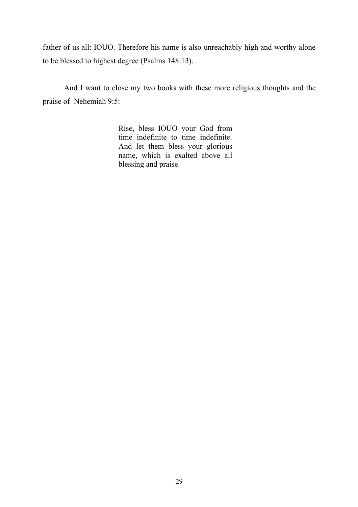father of us all: IOUO. Therefore his name is also unreachably high and worthy alone to be blessed to highest degree (Psalms 148:13).

And I want to close my two books with these more religious thoughts and the praise of Nehemiah 9:5:

> Rise, bless IOUO your God from time indefinite to time indefinite. And let them bless your glorious name, which is exalted above all blessing and praise.